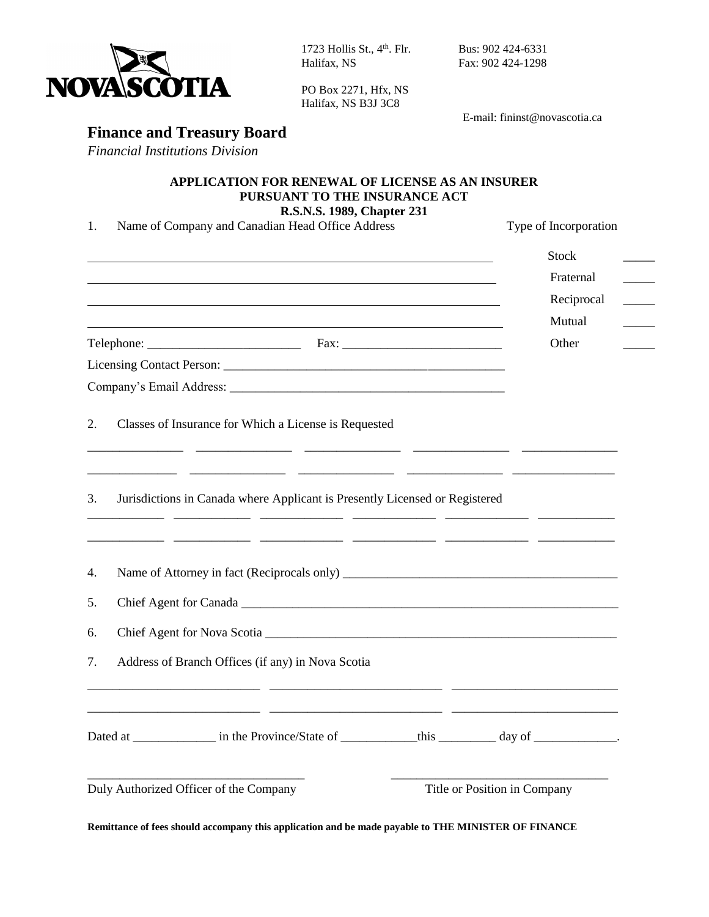

1723 Hollis St., 4 Halifax, NS Fax: 902 424-1298

PO Box 2271, Hfx, NS Halifax, NS B3J 3C8

Bus: 902 424-6331

E-mail: fininst@novascotia.ca

## **Finance and Treasury Board**

*Financial Institutions Division*

## **APPLICATION FOR RENEWAL OF LICENSE AS AN INSURER PURSUANT TO THE INSURANCE ACT**

**R.S.N.S. 1989, Chapter 231**

1. Name of Company and Canadian Head Office Address Type of Incorporation

|                                                                                                                                                                                     | <b>Stock</b>                 |
|-------------------------------------------------------------------------------------------------------------------------------------------------------------------------------------|------------------------------|
|                                                                                                                                                                                     | Fraternal                    |
|                                                                                                                                                                                     | Reciprocal                   |
| <u> 1989 - Johann Stein, mars an deus an deus Amerikaanse komme van de Fryske komme van de Fryske komme van de Fr</u>                                                               | Mutual                       |
|                                                                                                                                                                                     | Other                        |
|                                                                                                                                                                                     |                              |
|                                                                                                                                                                                     |                              |
| Classes of Insurance for Which a License is Requested<br>2.<br><u> 1999 - 1999 - 1999 - 1999 - 1999 - 1999 - 1999 - 1999 - 1999 - 1999 - 1999 - 1999 - 1999 - 1999 - 1999 - 199</u> |                              |
| Jurisdictions in Canada where Applicant is Presently Licensed or Registered<br>3.                                                                                                   |                              |
| 4.                                                                                                                                                                                  |                              |
| 5.                                                                                                                                                                                  |                              |
| 6.                                                                                                                                                                                  |                              |
| Address of Branch Offices (if any) in Nova Scotia<br>7.                                                                                                                             |                              |
| Dated at ______________ in the Province/State of _____________ this __________ day of ____________.                                                                                 |                              |
| Duly Authorized Officer of the Company                                                                                                                                              | Title or Position in Company |

**Remittance of fees should accompany this application and be made payable to THE MINISTER OF FINANCE**